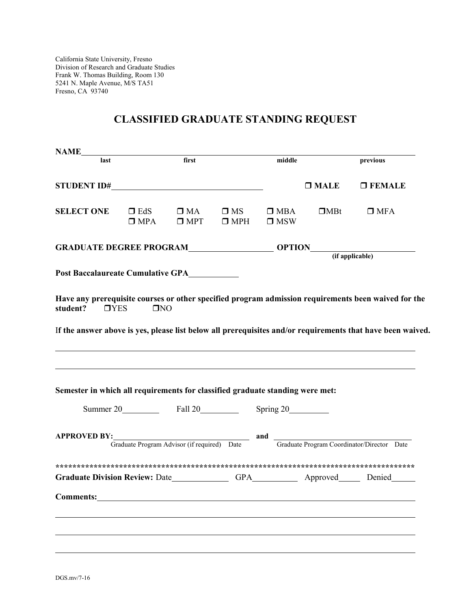California State University, Fresno Division of Research and Graduate Studies Frank W. Thomas Building, Room 130 5241 N. Maple Avenue, M/S TA51 Fresno, CA 93740

## **CLASSIFIED GRADUATE STANDING REQUEST**

| last<br>STUDENT ID#<br><b>SELECT ONE</b>                                                                                                                                                                                            |                             | first                      |                            | middle                   |             | previous      |  |
|-------------------------------------------------------------------------------------------------------------------------------------------------------------------------------------------------------------------------------------|-----------------------------|----------------------------|----------------------------|--------------------------|-------------|---------------|--|
|                                                                                                                                                                                                                                     |                             |                            |                            |                          |             |               |  |
|                                                                                                                                                                                                                                     |                             |                            |                            |                          | $\Box$ MALE | $\Box$ FEMALE |  |
|                                                                                                                                                                                                                                     | $\square$ EdS<br>$\Box$ MPA | $\square$ MA<br>$\Box$ MPT | $\square$ MS<br>$\Box$ MPH | $\Box$ MBA<br>$\Box$ MSW | $\Box$ MBt  | $\Box$ MFA    |  |
|                                                                                                                                                                                                                                     |                             |                            |                            |                          |             |               |  |
|                                                                                                                                                                                                                                     |                             |                            |                            |                          |             |               |  |
| Post Baccalaureate Cumulative GPA___________                                                                                                                                                                                        |                             |                            |                            |                          |             |               |  |
|                                                                                                                                                                                                                                     |                             |                            |                            |                          |             |               |  |
| Have any prerequisite courses or other specified program admission requirements been waived for the                                                                                                                                 |                             |                            |                            |                          |             |               |  |
| student?<br>TYES                                                                                                                                                                                                                    | TNO                         |                            |                            |                          |             |               |  |
| Semester in which all requirements for classified graduate standing were met:                                                                                                                                                       |                             |                            |                            |                          |             |               |  |
| Summer 20 Fall 20 Spring 20                                                                                                                                                                                                         |                             |                            |                            |                          |             |               |  |
|                                                                                                                                                                                                                                     |                             |                            |                            |                          |             |               |  |
| APPROVED BY:<br>Graduate Program Advisor (if required) Date and Graduate Program Coordinator/Director Date                                                                                                                          |                             |                            |                            |                          |             |               |  |
|                                                                                                                                                                                                                                     |                             |                            |                            |                          |             |               |  |
|                                                                                                                                                                                                                                     |                             |                            |                            |                          |             |               |  |
| Comments: <u>comments</u> and comments and comments and comments are contained as a series of the series of the series of the series of the series of the series of the series of the series of the series of the series of the ser |                             |                            |                            |                          |             |               |  |
|                                                                                                                                                                                                                                     |                             |                            |                            |                          |             |               |  |
|                                                                                                                                                                                                                                     |                             |                            |                            |                          |             |               |  |
|                                                                                                                                                                                                                                     |                             |                            |                            |                          |             |               |  |